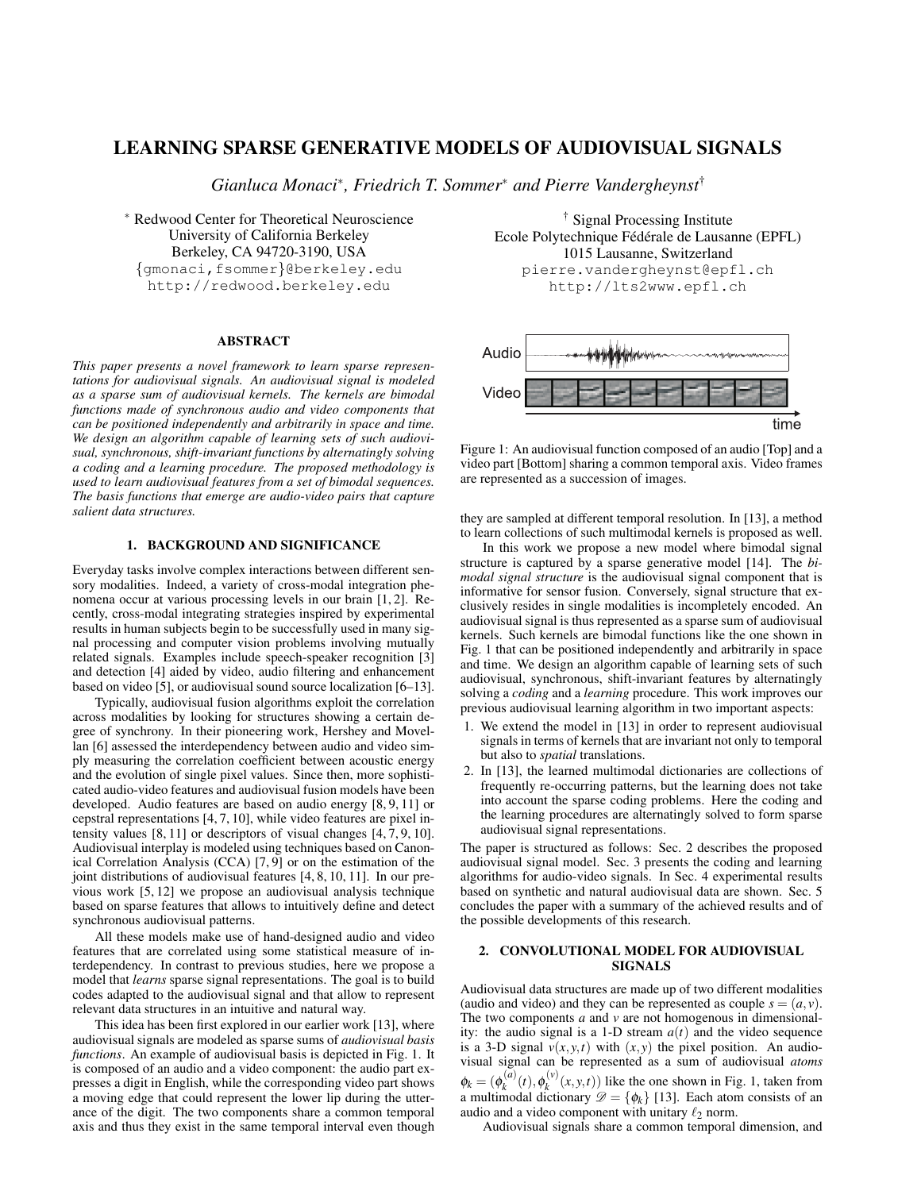# LEARNING SPARSE GENERATIVE MODELS OF AUDIOVISUAL SIGNALS

*Gianluca Monaci*<sup>∗</sup> *, Friedrich T. Sommer*<sup>∗</sup> *and Pierre Vandergheynst*†

<sup>∗</sup> Redwood Center for Theoretical Neuroscience University of California Berkeley Berkeley, CA 94720-3190, USA {gmonaci,fsommer}@berkeley.edu http://redwood.berkeley.edu

### ABSTRACT

*This paper presents a novel framework to learn sparse representations for audiovisual signals. An audiovisual signal is modeled as a sparse sum of audiovisual kernels. The kernels are bimodal functions made of synchronous audio and video components that can be positioned independently and arbitrarily in space and time. We design an algorithm capable of learning sets of such audiovisual, synchronous, shift-invariant functions by alternatingly solving a coding and a learning procedure. The proposed methodology is used to learn audiovisual features from a set of bimodal sequences. The basis functions that emerge are audio-video pairs that capture salient data structures.*

# 1. BACKGROUND AND SIGNIFICANCE

Everyday tasks involve complex interactions between different sensory modalities. Indeed, a variety of cross-modal integration phenomena occur at various processing levels in our brain [1, 2]. Recently, cross-modal integrating strategies inspired by experimental results in human subjects begin to be successfully used in many signal processing and computer vision problems involving mutually related signals. Examples include speech-speaker recognition [3] and detection [4] aided by video, audio filtering and enhancement based on video [5], or audiovisual sound source localization [6–13].

Typically, audiovisual fusion algorithms exploit the correlation across modalities by looking for structures showing a certain degree of synchrony. In their pioneering work, Hershey and Movellan [6] assessed the interdependency between audio and video simply measuring the correlation coefficient between acoustic energy and the evolution of single pixel values. Since then, more sophisticated audio-video features and audiovisual fusion models have been developed. Audio features are based on audio energy [8, 9, 11] or cepstral representations [4, 7, 10], while video features are pixel intensity values  $[8, 11]$  or descriptors of visual changes  $[4, 7, 9, 10]$ . Audiovisual interplay is modeled using techniques based on Canonical Correlation Analysis (CCA) [7, 9] or on the estimation of the joint distributions of audiovisual features [4, 8, 10, 11]. In our previous work [5, 12] we propose an audiovisual analysis technique based on sparse features that allows to intuitively define and detect synchronous audiovisual patterns.

All these models make use of hand-designed audio and video features that are correlated using some statistical measure of interdependency. In contrast to previous studies, here we propose a model that *learns* sparse signal representations. The goal is to build codes adapted to the audiovisual signal and that allow to represent relevant data structures in an intuitive and natural way.

This idea has been first explored in our earlier work [13], where audiovisual signals are modeled as sparse sums of *audiovisual basis functions*. An example of audiovisual basis is depicted in Fig. 1. It is composed of an audio and a video component: the audio part expresses a digit in English, while the corresponding video part shows a moving edge that could represent the lower lip during the utterance of the digit. The two components share a common temporal axis and thus they exist in the same temporal interval even though

† Signal Processing Institute Ecole Polytechnique Fédérale de Lausanne (EPFL) 1015 Lausanne, Switzerland pierre.vandergheynst@epfl.ch http://lts2www.epfl.ch



Figure 1: An audiovisual function composed of an audio [Top] and a video part [Bottom] sharing a common temporal axis. Video frames are represented as a succession of images.

they are sampled at different temporal resolution. In [13], a method to learn collections of such multimodal kernels is proposed as well.

In this work we propose a new model where bimodal signal structure is captured by a sparse generative model [14]. The *bimodal signal structure* is the audiovisual signal component that is informative for sensor fusion. Conversely, signal structure that exclusively resides in single modalities is incompletely encoded. An audiovisual signal is thus represented as a sparse sum of audiovisual kernels. Such kernels are bimodal functions like the one shown in Fig. 1 that can be positioned independently and arbitrarily in space and time. We design an algorithm capable of learning sets of such audiovisual, synchronous, shift-invariant features by alternatingly solving a *coding* and a *learning* procedure. This work improves our previous audiovisual learning algorithm in two important aspects:

- 1. We extend the model in [13] in order to represent audiovisual signals in terms of kernels that are invariant not only to temporal but also to *spatial* translations.
- 2. In [13], the learned multimodal dictionaries are collections of frequently re-occurring patterns, but the learning does not take into account the sparse coding problems. Here the coding and the learning procedures are alternatingly solved to form sparse audiovisual signal representations.

The paper is structured as follows: Sec. 2 describes the proposed audiovisual signal model. Sec. 3 presents the coding and learning algorithms for audio-video signals. In Sec. 4 experimental results based on synthetic and natural audiovisual data are shown. Sec. 5 concludes the paper with a summary of the achieved results and of the possible developments of this research.

## 2. CONVOLUTIONAL MODEL FOR AUDIOVISUAL **SIGNALS**

Audiovisual data structures are made up of two different modalities (audio and video) and they can be represented as couple  $s = (a, v)$ . The two components *a* and *v* are not homogenous in dimensionality: the audio signal is a 1-D stream  $a(t)$  and the video sequence is a 3-D signal  $v(x, y, t)$  with  $(x, y)$  the pixel position. An audiovisual signal can be represented as a sum of audiovisual *atoms*  $\phi_k = (\phi_k^{(a)}(t), \phi_k^{(v)}(x, y, t))$  like the one shown in Fig. 1, taken from a multimodal dictionary  $\mathcal{D} = {\phi_k}$  [13]. Each atom consists of an audio and a video component with unitary  $\ell_2$  norm.

Audiovisual signals share a common temporal dimension, and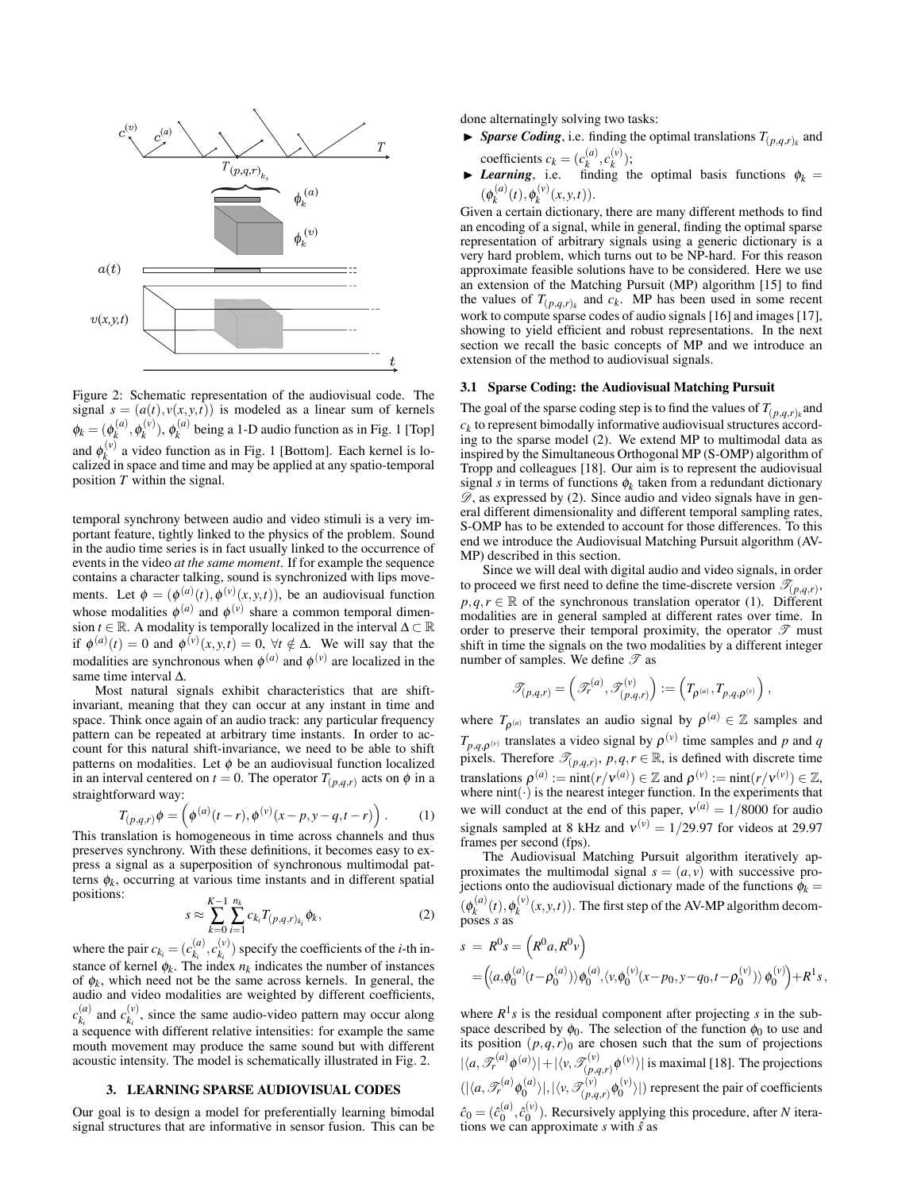

Figure 2: Schematic representation of the audiovisual code. The signal  $s = (a(t), v(x, y, t))$  is modeled as a linear sum of kernels  $\phi_k = (\phi_k^{(a)}, \phi_k^{(v)})$ ,  $\phi_k^{(a)}$  being a 1-D audio function as in Fig. 1 [Top] and  $\phi_k^{(v)}$  a video function as in Fig. 1 [Bottom]. Each kernel is localized in space and time and may be applied at any spatio-temporal position *T* within the signal.

temporal synchrony between audio and video stimuli is a very important feature, tightly linked to the physics of the problem. Sound in the audio time series is in fact usually linked to the occurrence of events in the video *at the same moment*. If for example the sequence contains a character talking, sound is synchronized with lips movements. Let  $\phi = (\phi^{(a)}(t), \phi^{(v)}(x, y, t))$ , be an audiovisual function whose modalities  $\phi^{(a)}$  and  $\phi^{(v)}$  share a common temporal dimension *t* ∈ R. A modality is temporally localized in the interval  $\Delta \subset \mathbb{R}$ if  $\phi^{(a)}(t) = 0$  and  $\phi^{(v)}(x, y, t) = 0$ ,  $\forall t \notin \Delta$ . We will say that the modalities are synchronous when  $\phi^{(a)}$  and  $\phi^{(v)}$  are localized in the same time interval ∆.

Most natural signals exhibit characteristics that are shiftinvariant, meaning that they can occur at any instant in time and space. Think once again of an audio track: any particular frequency pattern can be repeated at arbitrary time instants. In order to account for this natural shift-invariance, we need to be able to shift patterns on modalities. Let  $\phi$  be an audiovisual function localized in an interval centered on  $t = 0$ . The operator  $T_{(p,q,r)}$  acts on  $\phi$  in a straightforward way: ´

$$
T_{(p,q,r)}\phi = \left(\phi^{(a)}(t-r), \phi^{(v)}(x-p, y-q, t-r)\right). \tag{1}
$$

This translation is homogeneous in time across channels and thus preserves synchrony. With these definitions, it becomes easy to express a signal as a superposition of synchronous multimodal patterns  $\phi_k$ , occurring at various time instants and in different spatial positions: *K*−1 *nk*

$$
s \approx \sum_{k=0}^{K-1} \sum_{i=1}^{n_k} c_{k_i} T_{(p,q,r)_{k_i}} \phi_k,
$$
 (2)

where the pair  $c_{k_i} = (c_{k_i}^{(a)}, c_{k_i}^{(v)})$  specify the coefficients of the *i*-th instance of kernel  $\phi_k$ . The index  $n_k$  indicates the number of instances of  $\phi_k$ , which need not be the same across kernels. In general, the audio and video modalities are weighted by different coefficients,  $c_{k_i}^{(a)}$  and  $c_{k_i}^{(v)}$ , since the same audio-video pattern may occur along  $a^{\alpha}$  sequence with different relative intensities: for example the same mouth movement may produce the same sound but with different acoustic intensity. The model is schematically illustrated in Fig. 2.

# 3. LEARNING SPARSE AUDIOVISUAL CODES

Our goal is to design a model for preferentially learning bimodal signal structures that are informative in sensor fusion. This can be done alternatingly solving two tasks:

- $\blacktriangleright$  *Sparse Coding*, i.e. finding the optimal translations  $T_{(p,q,r)_k}$  and coefficients  $c_k = (c_k^{(a)}, c_k^{(v)})$ ;
- **I** *Learning*, i.e. finding the optimal basis functions  $\phi_k =$  $(\phi_k^{(a)}(t), \phi_k^{(v)}(x, y, t)).$

Given a certain dictionary, there are many different methods to find an encoding of a signal, while in general, finding the optimal sparse representation of arbitrary signals using a generic dictionary is a very hard problem, which turns out to be NP-hard. For this reason approximate feasible solutions have to be considered. Here we use an extension of the Matching Pursuit (MP) algorithm [15] to find the values of  $T_{(p,q,r)_k}$  and  $c_k$ . MP has been used in some recent work to compute sparse codes of audio signals [16] and images [17], showing to yield efficient and robust representations. In the next section we recall the basic concepts of MP and we introduce an extension of the method to audiovisual signals.

### 3.1 Sparse Coding: the Audiovisual Matching Pursuit

The goal of the sparse coding step is to find the values of  $T_{(p,q,r)_k}$  and  $c_k$  to represent bimodally informative audiovisual structures according to the sparse model (2). We extend MP to multimodal data as inspired by the Simultaneous Orthogonal MP (S-OMP) algorithm of Tropp and colleagues [18]. Our aim is to represent the audiovisual signal *s* in terms of functions  $\phi_k$  taken from a redundant dictionary  $\mathscr{D}$ , as expressed by (2). Since audio and video signals have in general different dimensionality and different temporal sampling rates, S-OMP has to be extended to account for those differences. To this end we introduce the Audiovisual Matching Pursuit algorithm (AV-MP) described in this section.

Since we will deal with digital audio and video signals, in order to proceed we first need to define the time-discrete version  $\mathcal{T}_{(p,q,r)}$ ,  $p, q, r \in \mathbb{R}$  of the synchronous translation operator (1). Different modalities are in general sampled at different rates over time. In order to preserve their temporal proximity, the operator  $\mathscr T$  must shift in time the signals on the two modalities by a different integer number of samples. We define  $\mathscr T$  as

$$
\mathscr{T}_{(p,q,r)}=\left(\mathscr{T}_{r}^{(a)},\mathscr{T}_{(p,q,r)}^{(v)}\right):=\left(T_{\rho^{(a)}},T_{p,q,\rho^{(v)}}\right),
$$

where  $T_{\rho^{(a)}}$  translates an audio signal by  $\rho^{(a)} \in \mathbb{Z}$  samples and  $T_{p,q,\rho^{(v)}}$  translates a video signal by  $\rho^{(v)}$  time samples and *p* and *q* pixels. Therefore  $\mathcal{T}_{(p,q,r)}, p,q,r \in \mathbb{R}$ , is defined with discrete time translations  $\rho^{(a)} := \text{nint}(r/v^{(a)}) \in \mathbb{Z}$  and  $\rho^{(v)} := \text{nint}(r/v^{(v)}) \in \mathbb{Z}$ , where  $nint(\cdot)$  is the nearest integer function. In the experiments that we will conduct at the end of this paper,  $v^{(a)} = 1/8000$  for audio signals sampled at 8 kHz and  $v^{(v)} = 1/29.97$  for videos at 29.97 frames per second (fps).

The Audiovisual Matching Pursuit algorithm iteratively approximates the multimodal signal  $s = (a, v)$  with successive projections onto the audiovisual dictionary made of the functions  $\hat{\phi}_k$  =  $(\phi_k^{(a)}(t), \phi_k^{(v)}(x, y, t))$ . The first step of the AV-MP algorithm decomposes *s* as  $\overline{a}$ ´

$$
s = R^{0} s = (R^{0} a, R^{0} v)
$$
  
=  $(\langle a, \phi_0^{(a)}(t - \rho_0^{(a)}) \rangle \phi_0^{(a)}, \langle v, \phi_0^{(v)}(x - p_0, y - q_0, t - \rho_0^{(v)}) \rangle \phi_0^{(v)} + R^{1} s,$ 

where  $R^1s$  is the residual component after projecting *s* in the subspace described by  $\phi_0$ . The selection of the function  $\phi_0$  to use and its position  $(p,q,r)$ <sup>0</sup> are chosen such that the sum of projections  $|\langle a, \mathcal{T}_r^{(a)} \phi^{(a)} \rangle| + |\langle v, \mathcal{T}_{(n,a)}^{(v)} \rangle|$  $\langle \rho_{q,q,r}^{(v)} \phi^{(v)} \rangle$  is maximal [18]. The projections  $(|\langle a, \mathscr{T}_r^{(a)}\phi_0^{(a)}\rangle|, |\langle v, \mathscr{T}_{(p,q)}^{(v)}\rangle|$  $\langle p_{q,q,r}^{(v)} | \phi_0^{(v)} \rangle |$  represent the pair of coefficients  $\hat{c}_0 = (\hat{c}_0^{(a)}, \hat{c}_0^{(v)})$ . Recursively applying this procedure, after *N* iterations we can approximate *s* with *s*ˆ as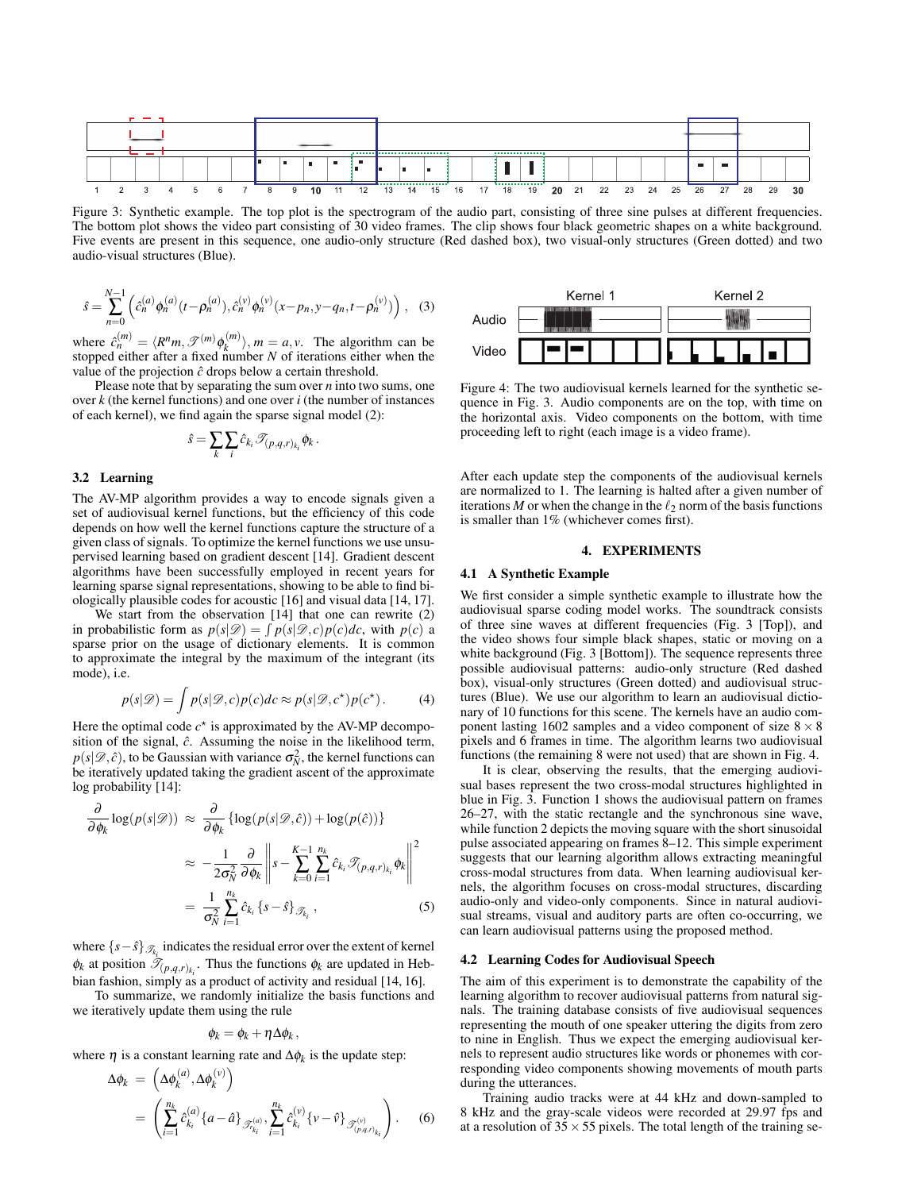

Figure 3: Synthetic example. The top plot is the spectrogram of the audio part, consisting of three sine pulses at different frequencies. The bottom plot shows the video part consisting of 30 video frames. The clip shows four black geometric shapes on a white background. Five events are present in this sequence, one audio-only structure (Red dashed box), two visual-only structures (Green dotted) and two audio-visual structures (Blue).

$$
\hat{s} = \sum_{n=0}^{N-1} \left( \hat{c}_n^{(a)} \phi_n^{(a)} (t - \rho_n^{(a)}) , \hat{c}_n^{(v)} \phi_n^{(v)} (x - p_n, y - q_n, t - \rho_n^{(v)}) \right), \quad (3)
$$

where  $\hat{c}_n^{(m)} = \langle R^n m, \mathcal{F}^{(m)} \phi_k^{(m)} \rangle$ ,  $m = a, v$ . The algorithm can be stopped either after a fixed number *N* of iterations either when the value of the projection  $\hat{c}$  drops below a certain threshold.

Please note that by separating the sum over *n* into two sums, one over *k* (the kernel functions) and one over *i* (the number of instances of each kernel), we find again the sparse signal model (2):

$$
\hat{s} = \sum_k \sum_i \hat{c}_{k_i} \mathcal{T}_{(p,q,r)_{k_i}} \phi_k.
$$

### 3.2 Learning

The AV-MP algorithm provides a way to encode signals given a set of audiovisual kernel functions, but the efficiency of this code depends on how well the kernel functions capture the structure of a given class of signals. To optimize the kernel functions we use unsupervised learning based on gradient descent [14]. Gradient descent algorithms have been successfully employed in recent years for learning sparse signal representations, showing to be able to find biologically plausible codes for acoustic [16] and visual data [14, 17].

We start from the observation [14] that one can rewrite (2) in probabilistic form as  $p(s|\mathcal{D}) = \int p(s|\mathcal{D}, c)p(c)dc$ , with  $p(c)$  a sparse prior on the usage of dictionary elements. It is common to approximate the integral by the maximum of the integrant (its mode), i.e.

$$
p(s|\mathscr{D}) = \int p(s|\mathscr{D}, c)p(c)dc \approx p(s|\mathscr{D}, c^*)p(c^*).
$$
 (4)

Here the optimal code  $c^*$  is approximated by the AV-MP decomposition of the signal,  $\hat{c}$ . Assuming the noise in the likelihood term,  $p(s|\mathcal{D}, \hat{c})$ , to be Gaussian with variance  $\sigma_N^2$ , the kernel functions can be iteratively updated taking the gradient ascent of the approximate log probability [14]:

$$
\frac{\partial}{\partial \phi_k} \log(p(s|\mathcal{D})) \approx \frac{\partial}{\partial \phi_k} \{ \log(p(s|\mathcal{D}, \hat{c})) + \log(p(\hat{c})) \}
$$

$$
\approx -\frac{1}{2\sigma_N^2} \frac{\partial}{\partial \phi_k} \left\| s - \sum_{k=0}^{K-1} \sum_{i=1}^{n_k} \hat{c}_{k_i} \mathcal{F}_{(p,q,r)_{k_i}} \phi_k \right\|^2
$$

$$
= \frac{1}{\sigma_N^2} \sum_{i=1}^{n_k} \hat{c}_{k_i} \{ s - \hat{s} \}_{\mathcal{F}_{k_i}}, \tag{5}
$$

where  $\{s-\hat{s}\}_{\mathcal{I}_{k_i}}$  indicates the residual error over the extent of kernel  $\phi_k$  at position  $\mathcal{T}_{(p,q,r)_{k_i}}$ . Thus the functions  $\phi_k$  are updated in Hebbian fashion, simply as a product of activity and residual [14, 16].

To summarize, we randomly initialize the basis functions and we iteratively update them using the rule

$$
\phi_k = \phi_k + \eta \Delta \phi_k \,,
$$

where  $\eta$  is a constant learning rate and  $\Delta \phi_k$  is the update step:

$$
\Delta \phi_k = \left( \Delta \phi_k^{(a)}, \Delta \phi_k^{(v)} \right)
$$
  
= 
$$
\left( \sum_{i=1}^{n_k} \hat{c}_{k_i}^{(a)} \{a - \hat{a}\}_{\mathcal{F}_{k_i}^{(a)}}, \sum_{i=1}^{n_k} \hat{c}_{k_i}^{(v)} \{v - \hat{v}\}_{\mathcal{F}_{(p,q,r)_{k_i}}^{(v)}} \right).
$$
 (6)



Figure 4: The two audiovisual kernels learned for the synthetic sequence in Fig. 3. Audio components are on the top, with time on the horizontal axis. Video components on the bottom, with time proceeding left to right (each image is a video frame).

After each update step the components of the audiovisual kernels are normalized to 1. The learning is halted after a given number of iterations  $M$  or when the change in the  $\ell_2$  norm of the basis functions is smaller than 1% (whichever comes first).

#### 4. EXPERIMENTS

#### 4.1 A Synthetic Example

We first consider a simple synthetic example to illustrate how the audiovisual sparse coding model works. The soundtrack consists of three sine waves at different frequencies (Fig. 3 [Top]), and the video shows four simple black shapes, static or moving on a white background (Fig. 3 [Bottom]). The sequence represents three possible audiovisual patterns: audio-only structure (Red dashed box), visual-only structures (Green dotted) and audiovisual structures (Blue). We use our algorithm to learn an audiovisual dictionary of 10 functions for this scene. The kernels have an audio component lasting 1602 samples and a video component of size  $8 \times 8$ pixels and 6 frames in time. The algorithm learns two audiovisual functions (the remaining 8 were not used) that are shown in Fig. 4.

It is clear, observing the results, that the emerging audiovisual bases represent the two cross-modal structures highlighted in blue in Fig. 3. Function 1 shows the audiovisual pattern on frames 26–27, with the static rectangle and the synchronous sine wave, while function 2 depicts the moving square with the short sinusoidal pulse associated appearing on frames 8–12. This simple experiment suggests that our learning algorithm allows extracting meaningful cross-modal structures from data. When learning audiovisual kernels, the algorithm focuses on cross-modal structures, discarding audio-only and video-only components. Since in natural audiovisual streams, visual and auditory parts are often co-occurring, we can learn audiovisual patterns using the proposed method.

#### 4.2 Learning Codes for Audiovisual Speech

The aim of this experiment is to demonstrate the capability of the learning algorithm to recover audiovisual patterns from natural signals. The training database consists of five audiovisual sequences representing the mouth of one speaker uttering the digits from zero to nine in English. Thus we expect the emerging audiovisual kernels to represent audio structures like words or phonemes with corresponding video components showing movements of mouth parts during the utterances.

Training audio tracks were at 44 kHz and down-sampled to 8 kHz and the gray-scale videos were recorded at 29.97 fps and at a resolution of  $35 \times 55$  pixels. The total length of the training se-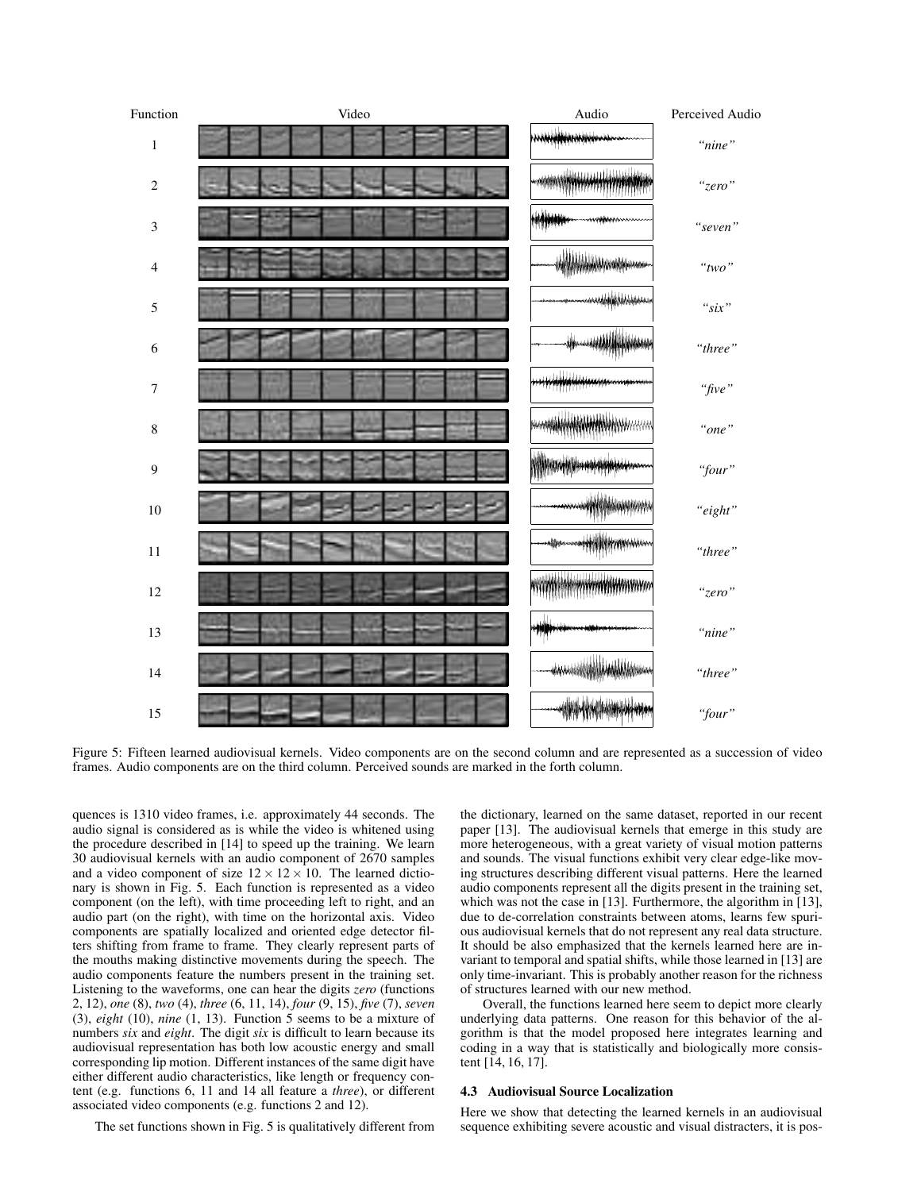

Figure 5: Fifteen learned audiovisual kernels. Video components are on the second column and are represented as a succession of video frames. Audio components are on the third column. Perceived sounds are marked in the forth column.

quences is 1310 video frames, i.e. approximately 44 seconds. The audio signal is considered as is while the video is whitened using the procedure described in [14] to speed up the training. We learn 30 audiovisual kernels with an audio component of 2670 samples and a video component of size  $12 \times 12 \times 10$ . The learned dictionary is shown in Fig. 5. Each function is represented as a video component (on the left), with time proceeding left to right, and an audio part (on the right), with time on the horizontal axis. Video components are spatially localized and oriented edge detector filters shifting from frame to frame. They clearly represent parts of the mouths making distinctive movements during the speech. The audio components feature the numbers present in the training set. Listening to the waveforms, one can hear the digits *zero* (functions 2, 12), *one* (8), *two* (4), *three* (6, 11, 14), *four* (9, 15), *five* (7), *seven* (3), *eight* (10), *nine* (1, 13). Function 5 seems to be a mixture of numbers *six* and *eight*. The digit *six* is difficult to learn because its audiovisual representation has both low acoustic energy and small corresponding lip motion. Different instances of the same digit have either different audio characteristics, like length or frequency content (e.g. functions 6, 11 and 14 all feature a *three*), or different associated video components (e.g. functions 2 and 12).

The set functions shown in Fig. 5 is qualitatively different from

the dictionary, learned on the same dataset, reported in our recent paper [13]. The audiovisual kernels that emerge in this study are more heterogeneous, with a great variety of visual motion patterns and sounds. The visual functions exhibit very clear edge-like moving structures describing different visual patterns. Here the learned audio components represent all the digits present in the training set, which was not the case in [13]. Furthermore, the algorithm in [13], due to de-correlation constraints between atoms, learns few spurious audiovisual kernels that do not represent any real data structure. It should be also emphasized that the kernels learned here are invariant to temporal and spatial shifts, while those learned in [13] are only time-invariant. This is probably another reason for the richness of structures learned with our new method.

Overall, the functions learned here seem to depict more clearly underlying data patterns. One reason for this behavior of the algorithm is that the model proposed here integrates learning and coding in a way that is statistically and biologically more consistent [14, 16, 17].

# 4.3 Audiovisual Source Localization

Here we show that detecting the learned kernels in an audiovisual sequence exhibiting severe acoustic and visual distracters, it is pos-